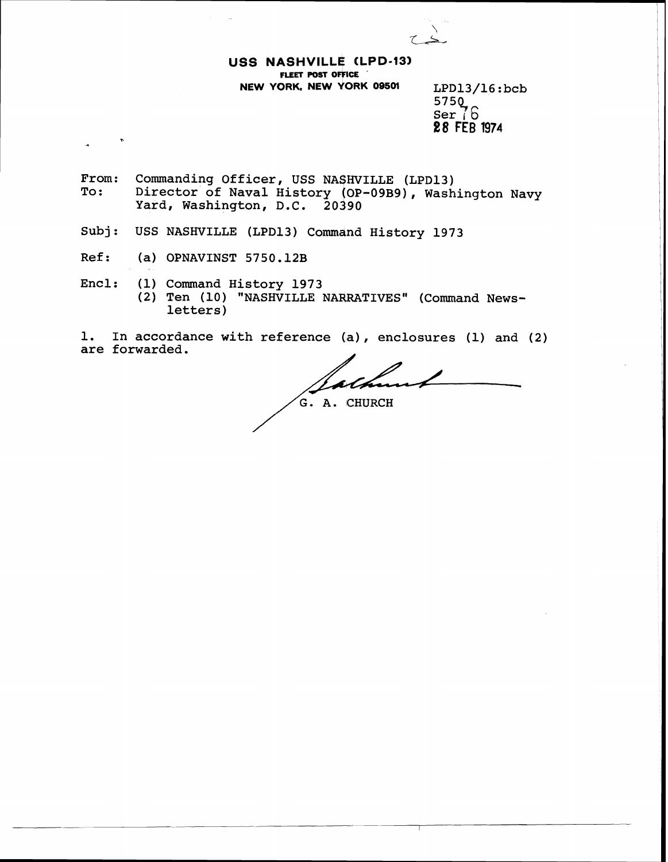**USS NASHVILLE CLPD-133 FLEET POST OFFICE NEW YORK, NEW YORK 09501** LPD13/16:bcb

 $575Q$ Ser **j** 6 **88 FEB 1974** 

From: Commanding Officer, USS NASHVILLE (LPD13)<br>To: Director of Naval History (OP-09B9). Wash Director of Naval History (OP-09B9), Washington Navy Yard, Washington, D.C. 20390

Subj: USS NASHVILLE (LPD13) Command History 1973

- Ref: (a) OPNAVINST 5750.12B
- Encl: (1) Command History 1973 (2) Ten (10) "NASHVILLE NARRATIVES" (Command Newsletters)

1. In accordance with reference (a), enclosures (1) and (2) are forwarded.

ASHVILLE NARRATIVES'<br>reference (a), enc.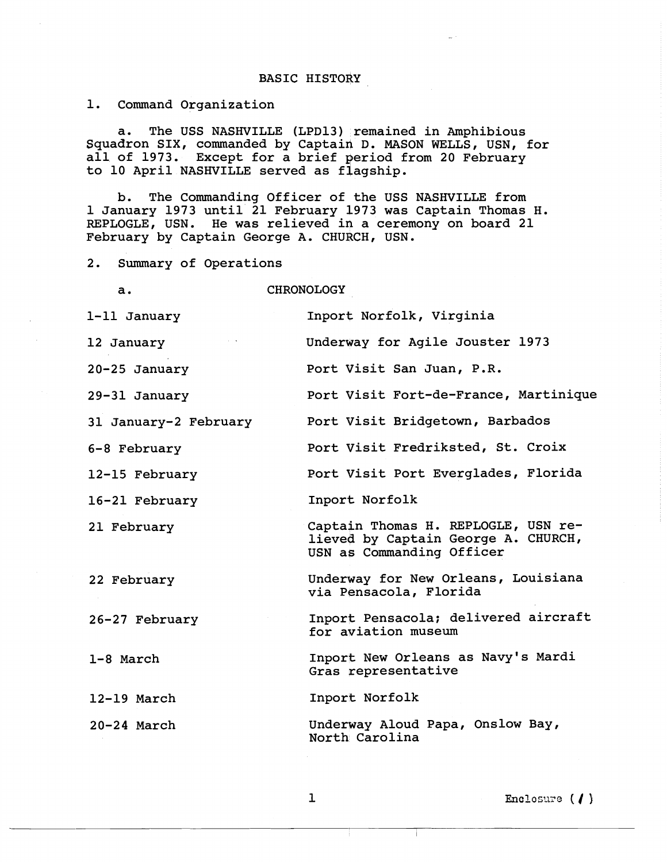## BASIC HISTORY

1. Command Organization

a. The USS NASHVILLE (LPD13) remained in Amphibious Squadron SIX, commanded by Captain D. MASON WELLS, USN, for all of 1973. Except for a brief period from 20 February to 10 April NASHVILLE served as flagship.

b. The Commanding Officer of the USS NASHVILLE from 1 January 1973 until 21 February 1973 was Captain Thomas H. REPLOGLE, USN. He was relieved in a ceremony on board 21 February by Captain George A. CHURCH, USN.

2. Summary of Operations

a. CHRONOLOGY

| 1-11 January          | Inport Norfolk, Virginia                                                                                |
|-----------------------|---------------------------------------------------------------------------------------------------------|
| 12 January            | Underway for Agile Jouster 1973                                                                         |
| $20 - 25$ January     | Port Visit San Juan, P.R.                                                                               |
| 29-31 January         | Port Visit Fort-de-France, Martinique                                                                   |
| 31 January-2 February | Port Visit Bridgetown, Barbados                                                                         |
| 6-8 February          | Port Visit Fredriksted, St. Croix                                                                       |
| 12-15 February        | Port Visit Port Everglades, Florida                                                                     |
| 16-21 February        | Inport Norfolk                                                                                          |
| 21 February           | Captain Thomas H. REPLOGLE, USN re-<br>lieved by Captain George A. CHURCH,<br>USN as Commanding Officer |
| 22 February           | Underway for New Orleans, Louisiana<br>via Pensacola, Florida                                           |
| 26-27 February        | Inport Pensacola; delivered aircraft<br>for aviation museum                                             |
| 1-8 March             | Inport New Orleans as Navy's Mardi<br>Gras representative                                               |
| $12-19$ March         | Inport Norfolk                                                                                          |
| $20 - 24$ March       | Underway Aloud Papa, Onslow Bay,<br>North Carolina                                                      |

Enclosure  $(1)$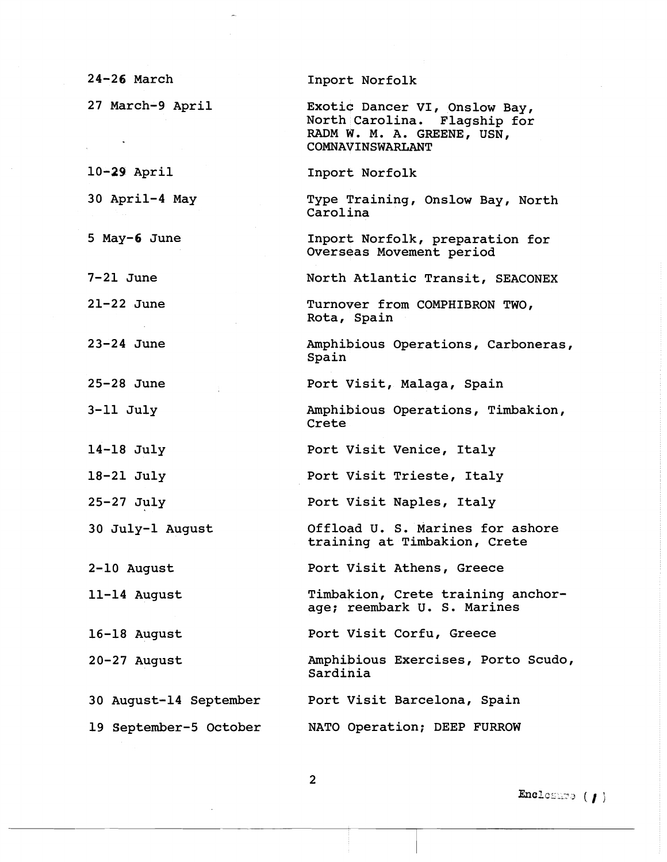| $24 - 26$ March        | Inport Norfolk                                                                                                  |
|------------------------|-----------------------------------------------------------------------------------------------------------------|
| 27 March-9 April       | Exotic Dancer VI, Onslow Bay,<br>North Carolina. Flagship for<br>RADM W. M. A. GREENE, USN,<br>COMNAVINSWARLANT |
| $10-29$ April          | Inport Norfolk                                                                                                  |
| 30 April-4 May         | Type Training, Onslow Bay, North<br>Carolina                                                                    |
| 5 May-6 June           | Inport Norfolk, preparation for<br>Overseas Movement period                                                     |
| $7-21$ June            | North Atlantic Transit, SEACONEX                                                                                |
| $21-22$ June           | Turnover from COMPHIBRON TWO,<br>Rota, Spain                                                                    |
| $23-24$ June           | Amphibious Operations, Carboneras,<br>Spain                                                                     |
| $25-28$ June           | Port Visit, Malaga, Spain                                                                                       |
| $3-11$ July            | Amphibious Operations, Timbakion,<br>Crete                                                                      |
| $14-18$ July           | Port Visit Venice, Italy                                                                                        |
| $18-21$ July           | Port Visit Trieste, Italy                                                                                       |
| $25-27$ July           | Port Visit Naples, Italy                                                                                        |
| 30 July-1 August       | Offload U. S. Marines for ashore<br>training at Timbakion, Crete                                                |
| 2-10 August            | Port Visit Athens, Greece                                                                                       |
| 11-14 August           | Timbakion, Crete training anchor-<br>age; reembark U. S. Marines                                                |
| 16-18 August           | Port Visit Corfu, Greece                                                                                        |
| $20 - 27$ August       | Amphibious Exercises, Porto Scudo,<br>Sardinia                                                                  |
| 30 August-14 September | Port Visit Barcelona, Spain                                                                                     |
| 19 September-5 October | NATO Operation; DEEP FURROW                                                                                     |

Enclosure ( / )

 $\overline{2}$ 

 $\sim$   $\sim$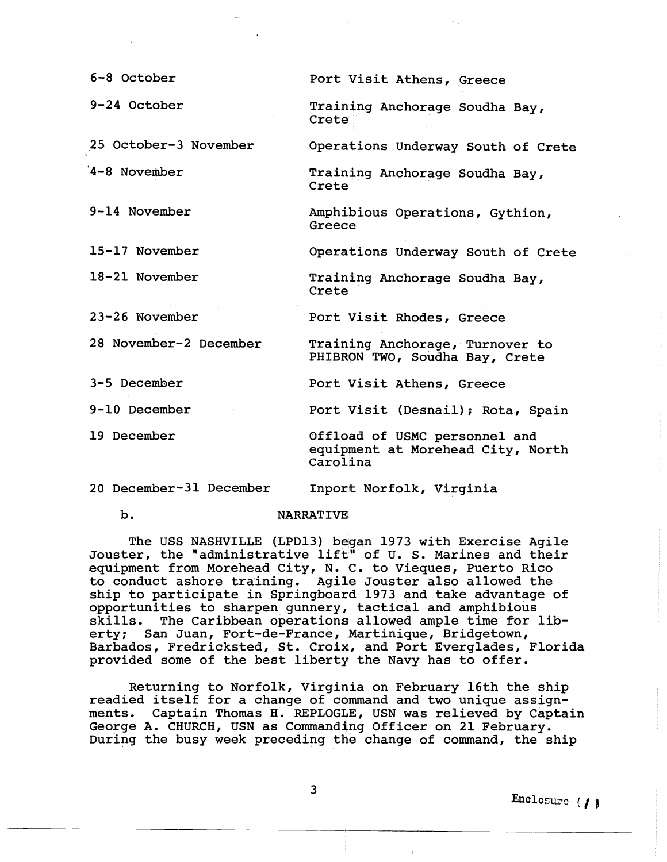| 6-8 October            | Port Visit Athens, Greece                                                      |
|------------------------|--------------------------------------------------------------------------------|
| 9-24 October           | Training Anchorage Soudha Bay,<br>Crete                                        |
| 25 October-3 November  | Operations Underway South of Crete                                             |
| 4-8 November           | Training Anchorage Soudha Bay,<br>Crete                                        |
| $9-14$ November        | Amphibious Operations, Gythion,<br>Greece                                      |
| 15-17 November         | Operations Underway South of Crete                                             |
| 18-21 November         | Training Anchorage Soudha Bay,<br>Crete                                        |
| 23-26 November         | Port Visit Rhodes, Greece                                                      |
| 28 November-2 December | Training Anchorage, Turnover to<br>PHIBRON TWO, Soudha Bay, Crete              |
| 3-5 December           | Port Visit Athens, Greece                                                      |
| $9-10$ December        | Port Visit (Desnail); Rota, Spain                                              |
| 19 December            | Offload of USMC personnel and<br>equipment at Morehead City, North<br>Carolina |

20 December-31 December Inport Norfolk, Virginia

## b. NARRATIVE

The USS NASHVILLE (LPD13) began 1973 with Exercise Agile Jouster, the "administrative lift" of U. S. Marines and their equipment from Morehead City, N. C. to Vieques, Puerto Rico to conduct ashore training. Agile Jouster also allowed the ship to participate in Springboard 1973 and take advantage of opportunities to sharpen gunnery, tactical and amphibious skills. The Caribbean operations allowed ample time for liberty; San Juan, Fort-de-France, Martinique, Bridgetown, Barbados, Fredricksted, St. Croix, and Port Everglades, Florida provided some of the best liberty the Navy has to offer.

Returning to Norfolk, Virginia on February 16th the ship readied itself for a change of command and two unique assignments. Captain Thomas H. REPLOGLE, USN was relieved by Captain George A. CHURCH, USN as Commanding Officer on 21 February. During the busy week preceding the change of command, the ship

3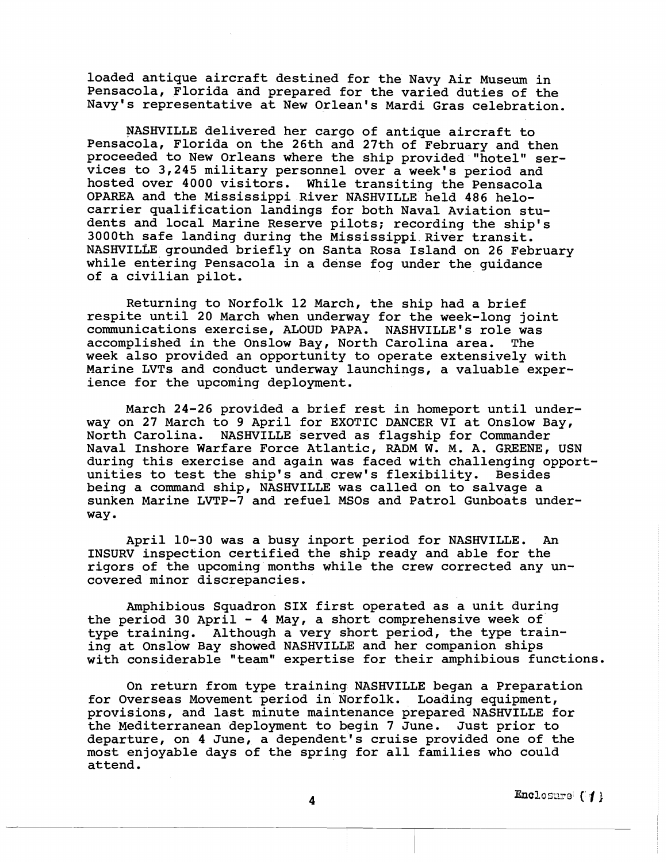loaded antique aircraft destined for the Navy Air Museum in Pensacola, Florida and prepared for the varied duties of the Navy's representative at New Orlean's Mardi Gras celebration.

NASHVILLE delivered her cargo of antique aircraft to Pensacola, Florida on the 26th and 27th of February and then proceeded to New Orleans where the ship provided "hotel" services to 3,245 military personnel over a week's period and hosted over 4000 visitors. While transiting the Pensacola OPAREA and the Mississippi River NASHVILLE held 486 helocarrier qualification landings for both Naval Aviation students and local Marine Reserve pilots; recording the ship's 3000th safe landing during the Mississippi River transit. NASHVILLE grounded briefly on Santa Rosa Island on 26 February while entering Pensacola in a dense fog under the guidance of a civilian pilot.

Returning to Norfolk 12 March, the ship had a brief respite until 20 March when underway for the week-long joint communications exercise, ALOUD PAPA. NASHVILLE'S role was accomplished in the Onslow Bay, North Carolina area. The week also provided an opportunity to operate extensively with Marine LVTs and conduct underway launchings, a valuable experience for the upcoming deployment.

March 24-26 provided a brief rest in homeport until underway on 27 March to 9 April for EXOTIC DANCER VI at Onslow Bay, North Carolina. NASHVILLE served as flagship for Commander Naval Inshore Warfare Force Atlantic, RADM W. M. A. GREENE, USN during this exercise and again was faced with challenging opportunities to test the ship's and crew's flexibility. Besides being a command ship, NASHVILLE was called on to salvage a sunken Marine LVTP-7 and refuel MS0s and Patrol Gunboats underway.

April 10-30 was a busy inport period for NASHVILLE. An INSURV inspection certified the ship ready and able for the rigors of the upcoming months while the crew corrected any uncovered minor discrepancies,

Amphibious Squadron SIX first operated as a unit during the period 30 April - 4 May, a short comprehensive week of type training, Although a very short period, the type training at Onslow Bay showed NASHVILLE and her companion ships with considerable "team" expertise for their amphibious functions.

On return from type training NASHVILLE began a Preparation for Overseas Movement period in Norfolk. Loading equipment, provisions, and last minute maintenance prepared NASHVILLE for the Mediterranean deployment to begin 7 June. Just prior to departure, on 4 June, a dependent's cruise provided one of the most enjoyable days of the spring for all families who could attend.

Enclosure (1)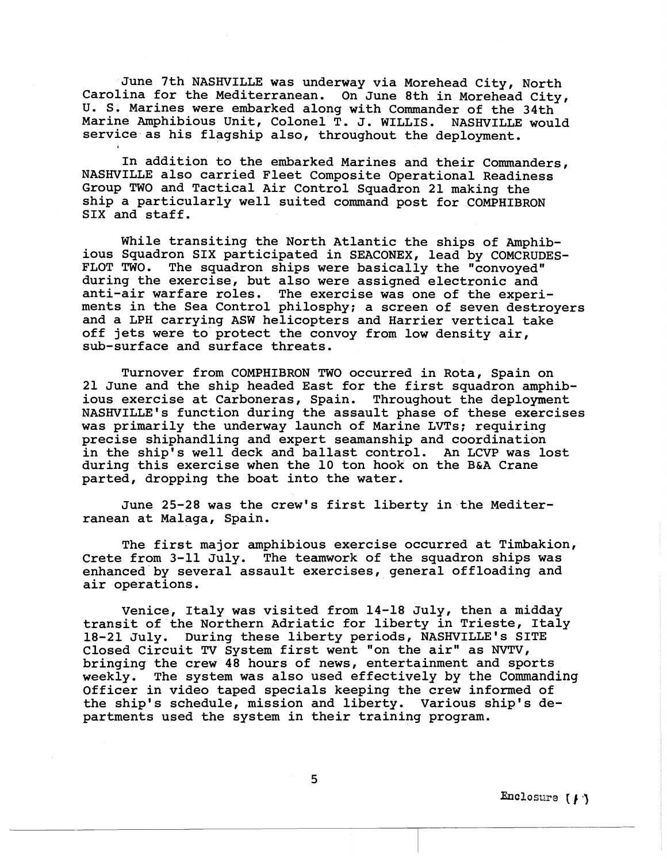June 7th NASHVILLE was underway via Morehead City, North Carolina for the Mediterranean. On June 8th in Morehead City, U. S. Marines were embarked along with Commander of the 34th Marine Amphibious Unit, Colonel T. J. WILLIS. NASHVILLE would service as his flagship also, throughout the deployment.

In addition to the embarked Marines and their Commanders, NASHVILLE also carried Fleet Composite Operational Readiness Group TWO and Tactical Air Control Squadron 21 making the ship a particularly well suited command post for COMPHIBRON SIX and staff.

While transiting the North Atlantic the ships of Amphibious Squadron SIX participated in SEACONEX, lead by COMCRUDES-FLOT TWO. The squadron ships were basically the "convoyed" during the exercise, but also were assigned electronic and anti-air warfare roles. The exeraise was one of the experiments in the Sea Control philosphy; a screen of seven destroyers and a LPH carrying ASW helicopters and Harrier vertical take off jets were to protect the convoy from low density air, sub-surface and surface threats.

Turnover from COMPHIBRON TWO occurred in Rota, Spain on 21 June and the ship headed East Eor the first squadron amphibious exercise at Carboneras, Spain. Throughout the deployment NASHVILLE'S function during the assault phase of these exercises was primarily the underway launch of Marine LVTs; requiring precise shiphandling and expert seamanship and coordination in the ship's well deck and ballast control. An LCVP was lost during this exercise when the 10 ton hook on the B&A Crane parted, dropping the boat into the water.

June 25-28 was the crew's first liberty in the Mediterranean at Malaga, Spain.

The first major amphibious ewercise occurred at Timbakion, Crete from 3-11 July. The teamwork of the squadron ships was enhanced by several assault exercises, general offloading and air operations.

Venice, Italy was visited from 14-18 July, then a midday transit of the Northern Adriatic for liberty in Trieste, Italy 18-21 July. During these liberty periods, NASHVILLE'S SITE Closed Circuit **TV** System first went 'on the air" as NVTV, bringing the crew 48 hours of news, entertainment and sports weekly. The system was also used effectively by the Commanding Officer in video taped specials keeping the crew informed of the ship's schedule, mission and liberty. Various ship's departments used the system in their training program.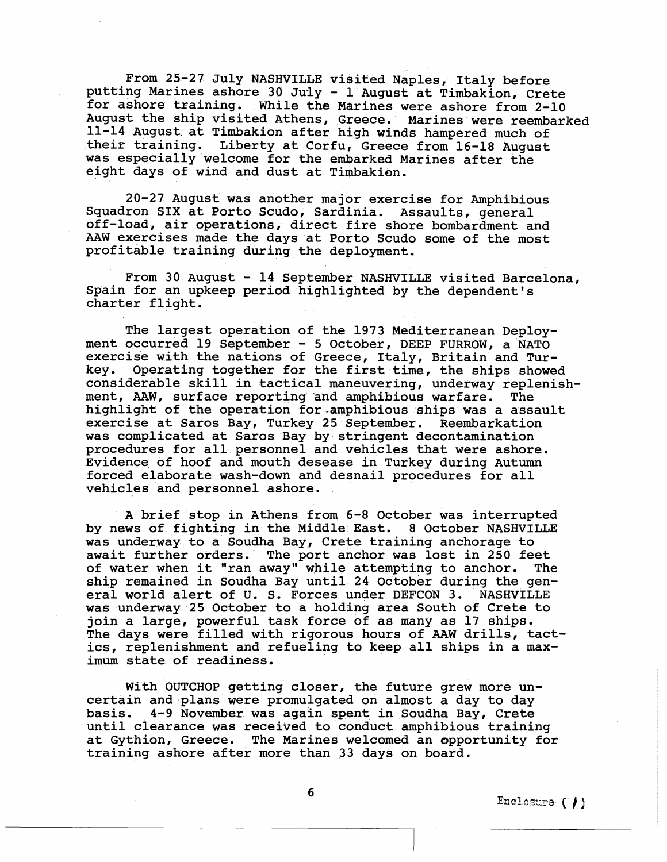From 25-27 July NASHVILLE visited Naples, Italy before putting Marines ashore 30 July - 1 August at Timbakion, Crete for ashore training. While the Marines were ashore from 2-10 August the ship visited Athens, Greece. Marines were reembarked 11-14 August at Timbakion after high winds hampered much of their training. Liberty at Corfu, Greece from 16-18 August was especially welcome for the embarked Marines after the eight days of wind and dust at Timbakion.

20-27 August was another major exercise for Amphibious Squadron SIX at Porto Scudo, Sardinia. Assaults, general off-load, air operations, direct fire shore bombardment and AAW exercises made the days at Porto Scudo some of the most profitable training during the deployment.

From 30 August - 14 September NASHVILLE visited Barcelona, Spain for an upkeep period highlighted by the dependent's charter flight,

The largest operation of the 1973 Mediterranean Deployment occurred 19 September - 5 October, DEEP FURROW, a NATO exercise with the nations of Greece, Italy, Britain and Turkey. Operating together for the first time, the ships showed considerable skill in tactical maneuvering, underway replenish-<br>ment, AAW, surface reporting and amphibious warfare. The ment, AAW, surface reporting and amphibious warfare. highlight of the operation for-amphibious ships was a assault exercise at Saros Bay, Turkey 25 September. Reembarkation was complicated at Saros Bay by stringent decontamination procedures for all personnel and vehicles that were ashore. Evidence, of hoof and mouth desease in Turkey during Autumn forced elaborate wash-down and desnail procedures for all vehicles and personnel ashore.

A brief stop in Athens from 5-8 October was interrupted by news of fighting in the Middle East. 8 October NASHVILLE was underway to a Soudha Bay, Crete training anchorage to await further orders. The port anchor was lost in 250 feet of water when it "ran away" while attempting to anchor. The ship remained in Soudha Bay until 24 October during the general world alert of U. S. Forces under DEFCON 3, NASHVILLE was underway 25 October to a holding area South of Crete to join a large, powerful task force of as many as 17 ships. The days were filled with rigorous hours of AAW drills, tactics, replenishment and refueling to keep all ships in a maximum state of readiness.

With OUTCHOP getting closer, the future grew more uncertain and plans were promulgated on almost a day to day basis. 4-9 November was again spent in Soudha Bay, Crete until clearance was received to conduct amphibious training at Gythion, Greece. The Marines welcomed an opportunity for training ashore after more than 33 days on board.

Enclosure  $(')$